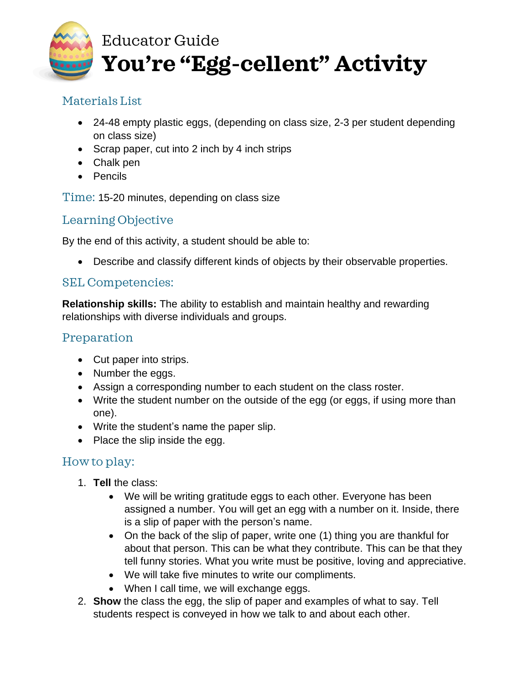

### Materials List

- 24-48 empty plastic eggs, (depending on class size, 2-3 per student depending on class size)
- Scrap paper, cut into 2 inch by 4 inch strips
- Chalk pen
- Pencils

Time: 15-20 minutes, depending on class size

# Learning Objective

By the end of this activity, a student should be able to:

• Describe and classify different kinds of objects by their observable properties.

#### SEL Competencies:

**Relationship skills:** The ability to establish and maintain healthy and rewarding relationships with diverse individuals and groups.

# Preparation

- Cut paper into strips.
- Number the eggs.
- Assign a corresponding number to each student on the class roster.
- Write the student number on the outside of the egg (or eggs, if using more than one).
- Write the student's name the paper slip.
- Place the slip inside the egg.

# How to play:

- 1. **Tell** the class:
	- We will be writing gratitude eggs to each other. Everyone has been assigned a number. You will get an egg with a number on it. Inside, there is a slip of paper with the person's name.
	- On the back of the slip of paper, write one (1) thing you are thankful for about that person. This can be what they contribute. This can be that they tell funny stories. What you write must be positive, loving and appreciative.
	- We will take five minutes to write our compliments.
	- When I call time, we will exchange eggs.
- 2. **Show** the class the egg, the slip of paper and examples of what to say. Tell students respect is conveyed in how we talk to and about each other.